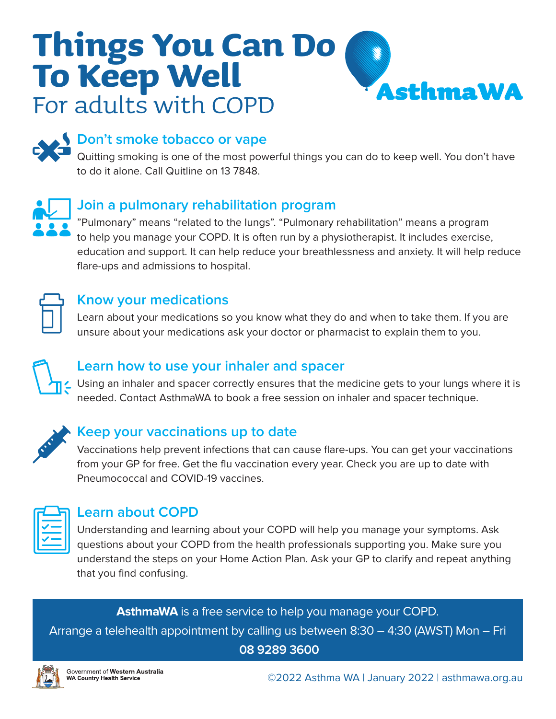# **Things You Can Do To Keep Well AsthmaWA** For adults with COPD



# **Don't smoke tobacco or vape**

Quitting smoking is one of the most powerful things you can do to keep well. You don't have to do it alone. Call Quitline on 13 7848.



# **Join a pulmonary rehabilitation program**

"Pulmonary" means "related to the lungs". "Pulmonary rehabilitation" means a program to help you manage your COPD. It is often run by a physiotherapist. It includes exercise, education and support. It can help reduce your breathlessness and anxiety. It will help reduce flare-ups and admissions to hospital.



#### **Know your medications**

Learn about your medications so you know what they do and when to take them. If you are unsure about your medications ask your doctor or pharmacist to explain them to you.



# **Learn how to use your inhaler and spacer**

L Using an inhaler and spacer correctly ensures that the medicine gets to your lungs where it is needed. Contact AsthmaWA to book a free session on inhaler and spacer technique.



# **Keep your vaccinations up to date**

Vaccinations help prevent infections that can cause flare-ups. You can get your vaccinations from your GP for free. Get the flu vaccination every year. Check you are up to date with Pneumococcal and COVID-19 vaccines.

# **Learn about COPD**

Understanding and learning about your COPD will help you manage your symptoms. Ask questions about your COPD from the health professionals supporting you. Make sure you understand the steps on your Home Action Plan. Ask your GP to clarify and repeat anything that you find confusing.

**AsthmaWA** is a free service to help you manage your COPD. Arrange a telehealth appointment by calling us between 8:30 – 4:30 (AWST) Mon – Fri **08 9289 3600**